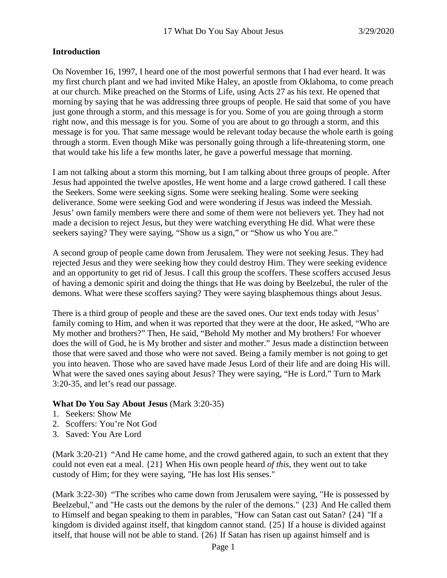# **Introduction**

On November 16, 1997, I heard one of the most powerful sermons that I had ever heard. It was my first church plant and we had invited Mike Haley, an apostle from Oklahoma, to come preach at our church. Mike preached on the Storms of Life, using Acts 27 as his text. He opened that morning by saying that he was addressing three groups of people. He said that some of you have just gone through a storm, and this message is for you. Some of you are going through a storm right now, and this message is for you. Some of you are about to go through a storm, and this message is for you. That same message would be relevant today because the whole earth is going through a storm. Even though Mike was personally going through a life-threatening storm, one that would take his life a few months later, he gave a powerful message that morning.

I am not talking about a storm this morning, but I am talking about three groups of people. After Jesus had appointed the twelve apostles, He went home and a large crowd gathered. I call these the Seekers. Some were seeking signs. Some were seeking healing. Some were seeking deliverance. Some were seeking God and were wondering if Jesus was indeed the Messiah. Jesus' own family members were there and some of them were not believers yet. They had not made a decision to reject Jesus, but they were watching everything He did. What were these seekers saying? They were saying, "Show us a sign," or "Show us who You are."

A second group of people came down from Jerusalem. They were not seeking Jesus. They had rejected Jesus and they were seeking how they could destroy Him. They were seeking evidence and an opportunity to get rid of Jesus. I call this group the scoffers. These scoffers accused Jesus of having a demonic spirit and doing the things that He was doing by Beelzebul, the ruler of the demons. What were these scoffers saying? They were saying blasphemous things about Jesus.

There is a third group of people and these are the saved ones. Our text ends today with Jesus' family coming to Him, and when it was reported that they were at the door, He asked, "Who are My mother and brothers?" Then, He said, "Behold My mother and My brothers! For whoever does the will of God, he is My brother and sister and mother." Jesus made a distinction between those that were saved and those who were not saved. Being a family member is not going to get you into heaven. Those who are saved have made Jesus Lord of their life and are doing His will. What were the saved ones saying about Jesus? They were saying, "He is Lord." Turn to Mark 3:20-35, and let's read our passage.

#### **What Do You Say About Jesus** (Mark 3:20-35)

- 1. Seekers: Show Me
- 2. Scoffers: You're Not God
- 3. Saved: You Are Lord

(Mark 3:20-21) "And He came home, and the crowd gathered again, to such an extent that they could not even eat a meal. {21} When His own people heard *of this,* they went out to take custody of Him; for they were saying, "He has lost His senses."

(Mark 3:22-30) "The scribes who came down from Jerusalem were saying, "He is possessed by Beelzebul," and "He casts out the demons by the ruler of the demons." {23} And He called them to Himself and began speaking to them in parables, "How can Satan cast out Satan? {24} "If a kingdom is divided against itself, that kingdom cannot stand. {25} If a house is divided against itself, that house will not be able to stand. {26} If Satan has risen up against himself and is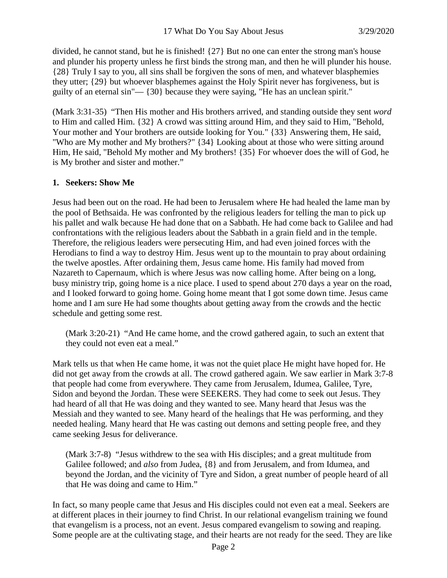divided, he cannot stand, but he is finished! {27} But no one can enter the strong man's house and plunder his property unless he first binds the strong man, and then he will plunder his house. {28} Truly I say to you, all sins shall be forgiven the sons of men, and whatever blasphemies they utter; {29} but whoever blasphemes against the Holy Spirit never has forgiveness, but is guilty of an eternal sin"— {30} because they were saying, "He has an unclean spirit."

(Mark 3:31-35) "Then His mother and His brothers arrived, and standing outside they sent *word* to Him and called Him. {32} A crowd was sitting around Him, and they said to Him, "Behold, Your mother and Your brothers are outside looking for You." {33} Answering them, He said, "Who are My mother and My brothers?" {34} Looking about at those who were sitting around Him, He said, "Behold My mother and My brothers! {35} For whoever does the will of God, he is My brother and sister and mother."

#### **1. Seekers: Show Me**

Jesus had been out on the road. He had been to Jerusalem where He had healed the lame man by the pool of Bethsaida. He was confronted by the religious leaders for telling the man to pick up his pallet and walk because He had done that on a Sabbath. He had come back to Galilee and had confrontations with the religious leaders about the Sabbath in a grain field and in the temple. Therefore, the religious leaders were persecuting Him, and had even joined forces with the Herodians to find a way to destroy Him. Jesus went up to the mountain to pray about ordaining the twelve apostles. After ordaining them, Jesus came home. His family had moved from Nazareth to Capernaum, which is where Jesus was now calling home. After being on a long, busy ministry trip, going home is a nice place. I used to spend about 270 days a year on the road, and I looked forward to going home. Going home meant that I got some down time. Jesus came home and I am sure He had some thoughts about getting away from the crowds and the hectic schedule and getting some rest.

(Mark 3:20-21) "And He came home, and the crowd gathered again, to such an extent that they could not even eat a meal."

Mark tells us that when He came home, it was not the quiet place He might have hoped for. He did not get away from the crowds at all. The crowd gathered again. We saw earlier in Mark 3:7-8 that people had come from everywhere. They came from Jerusalem, Idumea, Galilee, Tyre, Sidon and beyond the Jordan. These were SEEKERS. They had come to seek out Jesus. They had heard of all that He was doing and they wanted to see. Many heard that Jesus was the Messiah and they wanted to see. Many heard of the healings that He was performing, and they needed healing. Many heard that He was casting out demons and setting people free, and they came seeking Jesus for deliverance.

(Mark 3:7-8) "Jesus withdrew to the sea with His disciples; and a great multitude from Galilee followed; and *also* from Judea, {8} and from Jerusalem, and from Idumea, and beyond the Jordan, and the vicinity of Tyre and Sidon, a great number of people heard of all that He was doing and came to Him."

In fact, so many people came that Jesus and His disciples could not even eat a meal. Seekers are at different places in their journey to find Christ. In our relational evangelism training we found that evangelism is a process, not an event. Jesus compared evangelism to sowing and reaping. Some people are at the cultivating stage, and their hearts are not ready for the seed. They are like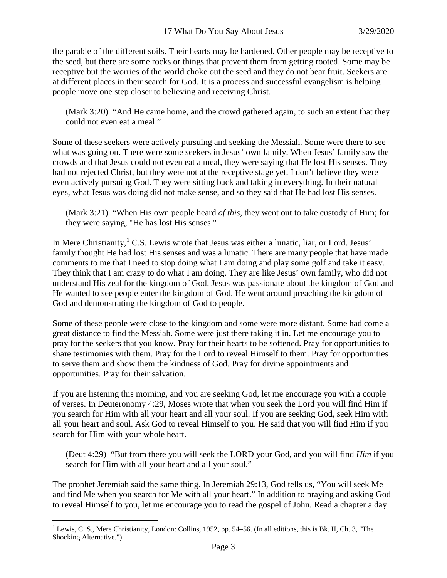the parable of the different soils. Their hearts may be hardened. Other people may be receptive to the seed, but there are some rocks or things that prevent them from getting rooted. Some may be receptive but the worries of the world choke out the seed and they do not bear fruit. Seekers are at different places in their search for God. It is a process and successful evangelism is helping people move one step closer to believing and receiving Christ.

(Mark 3:20) "And He came home, and the crowd gathered again, to such an extent that they could not even eat a meal."

Some of these seekers were actively pursuing and seeking the Messiah. Some were there to see what was going on. There were some seekers in Jesus' own family. When Jesus' family saw the crowds and that Jesus could not even eat a meal, they were saying that He lost His senses. They had not rejected Christ, but they were not at the receptive stage yet. I don't believe they were even actively pursuing God. They were sitting back and taking in everything. In their natural eyes, what Jesus was doing did not make sense, and so they said that He had lost His senses.

(Mark 3:21) "When His own people heard *of this,* they went out to take custody of Him; for they were saying, "He has lost His senses."

In Mere Christianity, <sup>[1](#page-2-0)</sup> C.S. Lewis wrote that Jesus was either a lunatic, liar, or Lord. Jesus' family thought He had lost His senses and was a lunatic. There are many people that have made comments to me that I need to stop doing what I am doing and play some golf and take it easy. They think that I am crazy to do what I am doing. They are like Jesus' own family, who did not understand His zeal for the kingdom of God. Jesus was passionate about the kingdom of God and He wanted to see people enter the kingdom of God. He went around preaching the kingdom of God and demonstrating the kingdom of God to people.

Some of these people were close to the kingdom and some were more distant. Some had come a great distance to find the Messiah. Some were just there taking it in. Let me encourage you to pray for the seekers that you know. Pray for their hearts to be softened. Pray for opportunities to share testimonies with them. Pray for the Lord to reveal Himself to them. Pray for opportunities to serve them and show them the kindness of God. Pray for divine appointments and opportunities. Pray for their salvation.

If you are listening this morning, and you are seeking God, let me encourage you with a couple of verses. In Deuteronomy 4:29, Moses wrote that when you seek the Lord you will find Him if you search for Him with all your heart and all your soul. If you are seeking God, seek Him with all your heart and soul. Ask God to reveal Himself to you. He said that you will find Him if you search for Him with your whole heart.

(Deut 4:29) "But from there you will seek the LORD your God, and you will find *Him* if you search for Him with all your heart and all your soul."

The prophet Jeremiah said the same thing. In Jeremiah 29:13, God tells us, "You will seek Me and find Me when you search for Me with all your heart." In addition to praying and asking God to reveal Himself to you, let me encourage you to read the gospel of John. Read a chapter a day

<span id="page-2-0"></span><sup>&</sup>lt;sup>1</sup> Lewis, C. S., Mere Christianity, London: Collins, 1952, pp. 54–56. (In all editions, this is Bk. II, Ch. 3, "The Shocking Alternative.")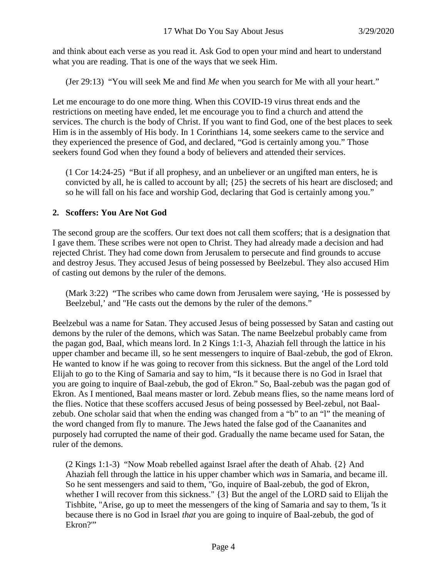and think about each verse as you read it. Ask God to open your mind and heart to understand what you are reading. That is one of the ways that we seek Him.

(Jer 29:13) "You will seek Me and find *Me* when you search for Me with all your heart."

Let me encourage to do one more thing. When this COVID-19 virus threat ends and the restrictions on meeting have ended, let me encourage you to find a church and attend the services. The church is the body of Christ. If you want to find God, one of the best places to seek Him is in the assembly of His body. In 1 Corinthians 14, some seekers came to the service and they experienced the presence of God, and declared, "God is certainly among you." Those seekers found God when they found a body of believers and attended their services.

(1 Cor 14:24-25) "But if all prophesy, and an unbeliever or an ungifted man enters, he is convicted by all, he is called to account by all; {25} the secrets of his heart are disclosed; and so he will fall on his face and worship God, declaring that God is certainly among you."

# **2. Scoffers: You Are Not God**

The second group are the scoffers. Our text does not call them scoffers; that is a designation that I gave them. These scribes were not open to Christ. They had already made a decision and had rejected Christ. They had come down from Jerusalem to persecute and find grounds to accuse and destroy Jesus. They accused Jesus of being possessed by Beelzebul. They also accused Him of casting out demons by the ruler of the demons.

(Mark 3:22) "The scribes who came down from Jerusalem were saying, 'He is possessed by Beelzebul,' and "He casts out the demons by the ruler of the demons."

Beelzebul was a name for Satan. They accused Jesus of being possessed by Satan and casting out demons by the ruler of the demons, which was Satan. The name Beelzebul probably came from the pagan god, Baal, which means lord. In 2 Kings 1:1-3, Ahaziah fell through the lattice in his upper chamber and became ill, so he sent messengers to inquire of Baal-zebub, the god of Ekron. He wanted to know if he was going to recover from this sickness. But the angel of the Lord told Elijah to go to the King of Samaria and say to him, "Is it because there is no God in Israel that you are going to inquire of Baal-zebub, the god of Ekron." So, Baal-zebub was the pagan god of Ekron. As I mentioned, Baal means master or lord. Zebub means flies, so the name means lord of the flies. Notice that these scoffers accused Jesus of being possessed by Beel-zebul, not Baalzebub. One scholar said that when the ending was changed from a "b" to an "l" the meaning of the word changed from fly to manure. The Jews hated the false god of the Caananites and purposely had corrupted the name of their god. Gradually the name became used for Satan, the ruler of the demons.

(2 Kings 1:1-3) "Now Moab rebelled against Israel after the death of Ahab. {2} And Ahaziah fell through the lattice in his upper chamber which *was* in Samaria, and became ill. So he sent messengers and said to them, "Go, inquire of Baal-zebub, the god of Ekron, whether I will recover from this sickness." {3} But the angel of the LORD said to Elijah the Tishbite, "Arise, go up to meet the messengers of the king of Samaria and say to them, 'Is it because there is no God in Israel *that* you are going to inquire of Baal-zebub, the god of Ekron?"'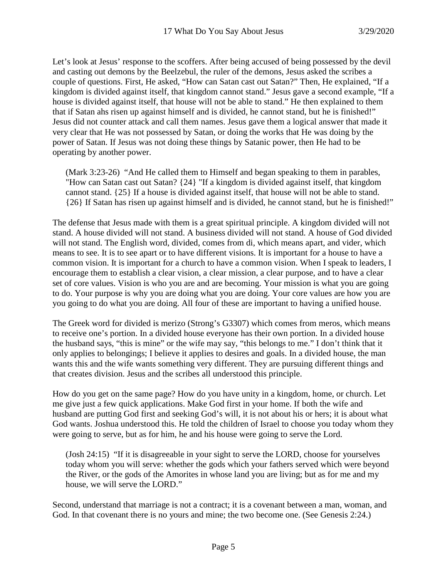Let's look at Jesus' response to the scoffers. After being accused of being possessed by the devil and casting out demons by the Beelzebul, the ruler of the demons, Jesus asked the scribes a couple of questions. First, He asked, "How can Satan cast out Satan?" Then, He explained, "If a kingdom is divided against itself, that kingdom cannot stand." Jesus gave a second example, "If a house is divided against itself, that house will not be able to stand." He then explained to them that if Satan ahs risen up against himself and is divided, he cannot stand, but he is finished!" Jesus did not counter attack and call them names. Jesus gave them a logical answer that made it very clear that He was not possessed by Satan, or doing the works that He was doing by the power of Satan. If Jesus was not doing these things by Satanic power, then He had to be operating by another power.

(Mark 3:23-26) "And He called them to Himself and began speaking to them in parables, "How can Satan cast out Satan? {24} "If a kingdom is divided against itself, that kingdom cannot stand. {25} If a house is divided against itself, that house will not be able to stand. {26} If Satan has risen up against himself and is divided, he cannot stand, but he is finished!"

The defense that Jesus made with them is a great spiritual principle. A kingdom divided will not stand. A house divided will not stand. A business divided will not stand. A house of God divided will not stand. The English word, divided, comes from di, which means apart, and vider, which means to see. It is to see apart or to have different visions. It is important for a house to have a common vision. It is important for a church to have a common vision. When I speak to leaders, I encourage them to establish a clear vision, a clear mission, a clear purpose, and to have a clear set of core values. Vision is who you are and are becoming. Your mission is what you are going to do. Your purpose is why you are doing what you are doing. Your core values are how you are you going to do what you are doing. All four of these are important to having a unified house.

The Greek word for divided is merizo (Strong's G3307) which comes from meros, which means to receive one's portion. In a divided house everyone has their own portion. In a divided house the husband says, "this is mine" or the wife may say, "this belongs to me." I don't think that it only applies to belongings; I believe it applies to desires and goals. In a divided house, the man wants this and the wife wants something very different. They are pursuing different things and that creates division. Jesus and the scribes all understood this principle.

How do you get on the same page? How do you have unity in a kingdom, home, or church. Let me give just a few quick applications. Make God first in your home. If both the wife and husband are putting God first and seeking God's will, it is not about his or hers; it is about what God wants. Joshua understood this. He told the children of Israel to choose you today whom they were going to serve, but as for him, he and his house were going to serve the Lord.

(Josh 24:15) "If it is disagreeable in your sight to serve the LORD, choose for yourselves today whom you will serve: whether the gods which your fathers served which were beyond the River, or the gods of the Amorites in whose land you are living; but as for me and my house, we will serve the LORD."

Second, understand that marriage is not a contract; it is a covenant between a man, woman, and God. In that covenant there is no yours and mine; the two become one. (See Genesis 2:24.)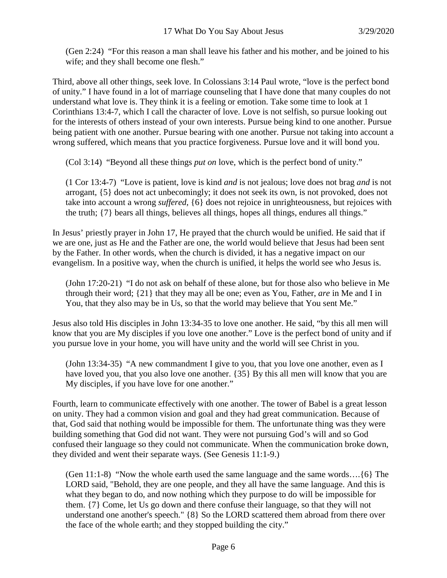(Gen 2:24) "For this reason a man shall leave his father and his mother, and be joined to his wife; and they shall become one flesh."

Third, above all other things, seek love. In Colossians 3:14 Paul wrote, "love is the perfect bond of unity." I have found in a lot of marriage counseling that I have done that many couples do not understand what love is. They think it is a feeling or emotion. Take some time to look at 1 Corinthians 13:4-7, which I call the character of love. Love is not selfish, so pursue looking out for the interests of others instead of your own interests. Pursue being kind to one another. Pursue being patient with one another. Pursue bearing with one another. Pursue not taking into account a wrong suffered, which means that you practice forgiveness. Pursue love and it will bond you.

(Col 3:14) "Beyond all these things *put on* love, which is the perfect bond of unity."

(1 Cor 13:4-7) "Love is patient, love is kind *and* is not jealous; love does not brag *and* is not arrogant, {5} does not act unbecomingly; it does not seek its own, is not provoked, does not take into account a wrong *suffered,* {6} does not rejoice in unrighteousness, but rejoices with the truth; {7} bears all things, believes all things, hopes all things, endures all things."

In Jesus' priestly prayer in John 17, He prayed that the church would be unified. He said that if we are one, just as He and the Father are one, the world would believe that Jesus had been sent by the Father. In other words, when the church is divided, it has a negative impact on our evangelism. In a positive way, when the church is unified, it helps the world see who Jesus is.

(John 17:20-21) "I do not ask on behalf of these alone, but for those also who believe in Me through their word; {21} that they may all be one; even as You, Father, *are* in Me and I in You, that they also may be in Us, so that the world may believe that You sent Me."

Jesus also told His disciples in John 13:34-35 to love one another. He said, "by this all men will know that you are My disciples if you love one another." Love is the perfect bond of unity and if you pursue love in your home, you will have unity and the world will see Christ in you.

(John 13:34-35) "A new commandment I give to you, that you love one another, even as I have loved you, that you also love one another. {35} By this all men will know that you are My disciples, if you have love for one another."

Fourth, learn to communicate effectively with one another. The tower of Babel is a great lesson on unity. They had a common vision and goal and they had great communication. Because of that, God said that nothing would be impossible for them. The unfortunate thing was they were building something that God did not want. They were not pursuing God's will and so God confused their language so they could not communicate. When the communication broke down, they divided and went their separate ways. (See Genesis 11:1-9.)

(Gen 11:1-8) "Now the whole earth used the same language and the same words.... $\{6\}$  The LORD said, "Behold, they are one people, and they all have the same language. And this is what they began to do, and now nothing which they purpose to do will be impossible for them. {7} Come, let Us go down and there confuse their language, so that they will not understand one another's speech." {8} So the LORD scattered them abroad from there over the face of the whole earth; and they stopped building the city."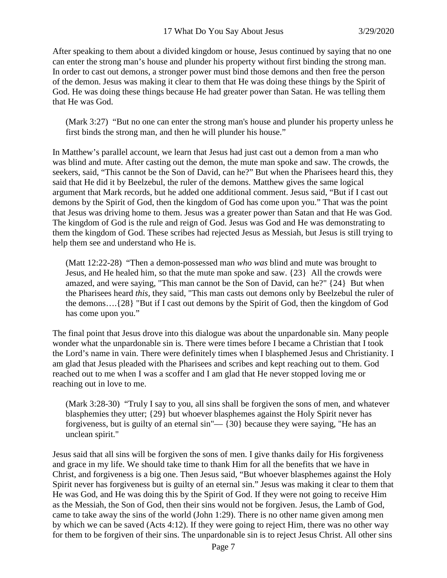After speaking to them about a divided kingdom or house, Jesus continued by saying that no one can enter the strong man's house and plunder his property without first binding the strong man. In order to cast out demons, a stronger power must bind those demons and then free the person of the demon. Jesus was making it clear to them that He was doing these things by the Spirit of God. He was doing these things because He had greater power than Satan. He was telling them that He was God.

(Mark 3:27) "But no one can enter the strong man's house and plunder his property unless he first binds the strong man, and then he will plunder his house."

In Matthew's parallel account, we learn that Jesus had just cast out a demon from a man who was blind and mute. After casting out the demon, the mute man spoke and saw. The crowds, the seekers, said, "This cannot be the Son of David, can he?" But when the Pharisees heard this, they said that He did it by Beelzebul, the ruler of the demons. Matthew gives the same logical argument that Mark records, but he added one additional comment. Jesus said, "But if I cast out demons by the Spirit of God, then the kingdom of God has come upon you." That was the point that Jesus was driving home to them. Jesus was a greater power than Satan and that He was God. The kingdom of God is the rule and reign of God. Jesus was God and He was demonstrating to them the kingdom of God. These scribes had rejected Jesus as Messiah, but Jesus is still trying to help them see and understand who He is.

(Matt 12:22-28) "Then a demon-possessed man *who was* blind and mute was brought to Jesus, and He healed him, so that the mute man spoke and saw. {23} All the crowds were amazed, and were saying, "This man cannot be the Son of David, can he?" {24} But when the Pharisees heard *this,* they said, "This man casts out demons only by Beelzebul the ruler of the demons….{28} "But if I cast out demons by the Spirit of God, then the kingdom of God has come upon you."

The final point that Jesus drove into this dialogue was about the unpardonable sin. Many people wonder what the unpardonable sin is. There were times before I became a Christian that I took the Lord's name in vain. There were definitely times when I blasphemed Jesus and Christianity. I am glad that Jesus pleaded with the Pharisees and scribes and kept reaching out to them. God reached out to me when I was a scoffer and I am glad that He never stopped loving me or reaching out in love to me.

(Mark 3:28-30) "Truly I say to you, all sins shall be forgiven the sons of men, and whatever blasphemies they utter; {29} but whoever blasphemes against the Holy Spirit never has forgiveness, but is guilty of an eternal sin"— {30} because they were saying, "He has an unclean spirit."

Jesus said that all sins will be forgiven the sons of men. I give thanks daily for His forgiveness and grace in my life. We should take time to thank Him for all the benefits that we have in Christ, and forgiveness is a big one. Then Jesus said, "But whoever blasphemes against the Holy Spirit never has forgiveness but is guilty of an eternal sin." Jesus was making it clear to them that He was God, and He was doing this by the Spirit of God. If they were not going to receive Him as the Messiah, the Son of God, then their sins would not be forgiven. Jesus, the Lamb of God, came to take away the sins of the world (John 1:29). There is no other name given among men by which we can be saved (Acts 4:12). If they were going to reject Him, there was no other way for them to be forgiven of their sins. The unpardonable sin is to reject Jesus Christ. All other sins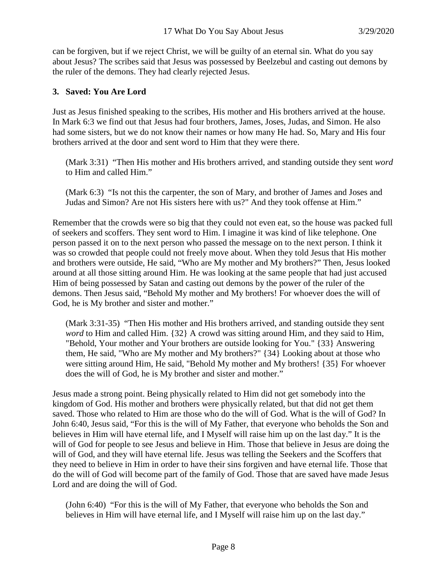can be forgiven, but if we reject Christ, we will be guilty of an eternal sin. What do you say about Jesus? The scribes said that Jesus was possessed by Beelzebul and casting out demons by the ruler of the demons. They had clearly rejected Jesus.

#### **3. Saved: You Are Lord**

Just as Jesus finished speaking to the scribes, His mother and His brothers arrived at the house. In Mark 6:3 we find out that Jesus had four brothers, James, Joses, Judas, and Simon. He also had some sisters, but we do not know their names or how many He had. So, Mary and His four brothers arrived at the door and sent word to Him that they were there.

(Mark 3:31) "Then His mother and His brothers arrived, and standing outside they sent *word* to Him and called Him."

(Mark 6:3) "Is not this the carpenter, the son of Mary, and brother of James and Joses and Judas and Simon? Are not His sisters here with us?" And they took offense at Him."

Remember that the crowds were so big that they could not even eat, so the house was packed full of seekers and scoffers. They sent word to Him. I imagine it was kind of like telephone. One person passed it on to the next person who passed the message on to the next person. I think it was so crowded that people could not freely move about. When they told Jesus that His mother and brothers were outside, He said, "Who are My mother and My brothers?" Then, Jesus looked around at all those sitting around Him. He was looking at the same people that had just accused Him of being possessed by Satan and casting out demons by the power of the ruler of the demons. Then Jesus said, "Behold My mother and My brothers! For whoever does the will of God, he is My brother and sister and mother."

(Mark 3:31-35) "Then His mother and His brothers arrived, and standing outside they sent *word* to Him and called Him. {32} A crowd was sitting around Him, and they said to Him, "Behold, Your mother and Your brothers are outside looking for You." {33} Answering them, He said, "Who are My mother and My brothers?" {34} Looking about at those who were sitting around Him, He said, "Behold My mother and My brothers! {35} For whoever does the will of God, he is My brother and sister and mother."

Jesus made a strong point. Being physically related to Him did not get somebody into the kingdom of God. His mother and brothers were physically related, but that did not get them saved. Those who related to Him are those who do the will of God. What is the will of God? In John 6:40, Jesus said, "For this is the will of My Father, that everyone who beholds the Son and believes in Him will have eternal life, and I Myself will raise him up on the last day." It is the will of God for people to see Jesus and believe in Him. Those that believe in Jesus are doing the will of God, and they will have eternal life. Jesus was telling the Seekers and the Scoffers that they need to believe in Him in order to have their sins forgiven and have eternal life. Those that do the will of God will become part of the family of God. Those that are saved have made Jesus Lord and are doing the will of God.

(John 6:40) "For this is the will of My Father, that everyone who beholds the Son and believes in Him will have eternal life, and I Myself will raise him up on the last day."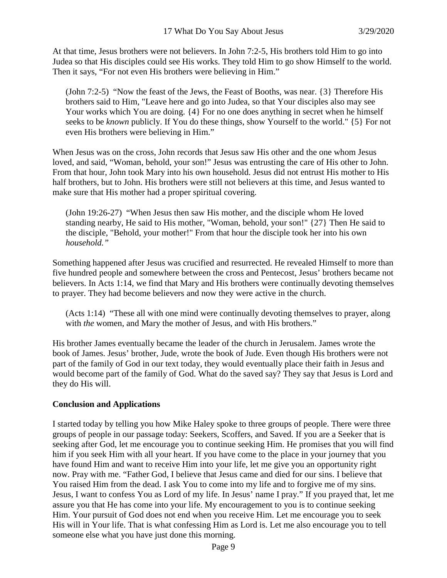At that time, Jesus brothers were not believers. In John 7:2-5, His brothers told Him to go into Judea so that His disciples could see His works. They told Him to go show Himself to the world. Then it says, "For not even His brothers were believing in Him."

(John 7:2-5) "Now the feast of the Jews, the Feast of Booths, was near. {3} Therefore His brothers said to Him, "Leave here and go into Judea, so that Your disciples also may see Your works which You are doing.  $\{4\}$  For no one does anything in secret when he himself seeks to be *known* publicly. If You do these things, show Yourself to the world." {5} For not even His brothers were believing in Him."

When Jesus was on the cross, John records that Jesus saw His other and the one whom Jesus loved, and said, "Woman, behold, your son!" Jesus was entrusting the care of His other to John. From that hour, John took Mary into his own household. Jesus did not entrust His mother to His half brothers, but to John. His brothers were still not believers at this time, and Jesus wanted to make sure that His mother had a proper spiritual covering.

(John 19:26-27) "When Jesus then saw His mother, and the disciple whom He loved standing nearby, He said to His mother, "Woman, behold, your son!" {27} Then He said to the disciple, "Behold, your mother!" From that hour the disciple took her into his own *household."*

Something happened after Jesus was crucified and resurrected. He revealed Himself to more than five hundred people and somewhere between the cross and Pentecost, Jesus' brothers became not believers. In Acts 1:14, we find that Mary and His brothers were continually devoting themselves to prayer. They had become believers and now they were active in the church.

(Acts 1:14) "These all with one mind were continually devoting themselves to prayer, along with *the* women, and Mary the mother of Jesus, and with His brothers."

His brother James eventually became the leader of the church in Jerusalem. James wrote the book of James. Jesus' brother, Jude, wrote the book of Jude. Even though His brothers were not part of the family of God in our text today, they would eventually place their faith in Jesus and would become part of the family of God. What do the saved say? They say that Jesus is Lord and they do His will.

# **Conclusion and Applications**

I started today by telling you how Mike Haley spoke to three groups of people. There were three groups of people in our passage today: Seekers, Scoffers, and Saved. If you are a Seeker that is seeking after God, let me encourage you to continue seeking Him. He promises that you will find him if you seek Him with all your heart. If you have come to the place in your journey that you have found Him and want to receive Him into your life, let me give you an opportunity right now. Pray with me. "Father God, I believe that Jesus came and died for our sins. I believe that You raised Him from the dead. I ask You to come into my life and to forgive me of my sins. Jesus, I want to confess You as Lord of my life. In Jesus' name I pray." If you prayed that, let me assure you that He has come into your life. My encouragement to you is to continue seeking Him. Your pursuit of God does not end when you receive Him. Let me encourage you to seek His will in Your life. That is what confessing Him as Lord is. Let me also encourage you to tell someone else what you have just done this morning.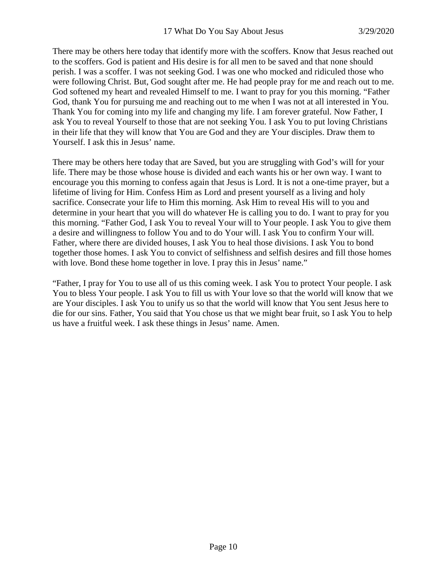There may be others here today that identify more with the scoffers. Know that Jesus reached out to the scoffers. God is patient and His desire is for all men to be saved and that none should perish. I was a scoffer. I was not seeking God. I was one who mocked and ridiculed those who were following Christ. But, God sought after me. He had people pray for me and reach out to me. God softened my heart and revealed Himself to me. I want to pray for you this morning. "Father God, thank You for pursuing me and reaching out to me when I was not at all interested in You. Thank You for coming into my life and changing my life. I am forever grateful. Now Father, I ask You to reveal Yourself to those that are not seeking You. I ask You to put loving Christians in their life that they will know that You are God and they are Your disciples. Draw them to Yourself. I ask this in Jesus' name.

There may be others here today that are Saved, but you are struggling with God's will for your life. There may be those whose house is divided and each wants his or her own way. I want to encourage you this morning to confess again that Jesus is Lord. It is not a one-time prayer, but a lifetime of living for Him. Confess Him as Lord and present yourself as a living and holy sacrifice. Consecrate your life to Him this morning. Ask Him to reveal His will to you and determine in your heart that you will do whatever He is calling you to do. I want to pray for you this morning. "Father God, I ask You to reveal Your will to Your people. I ask You to give them a desire and willingness to follow You and to do Your will. I ask You to confirm Your will. Father, where there are divided houses, I ask You to heal those divisions. I ask You to bond together those homes. I ask You to convict of selfishness and selfish desires and fill those homes with love. Bond these home together in love. I pray this in Jesus' name."

"Father, I pray for You to use all of us this coming week. I ask You to protect Your people. I ask You to bless Your people. I ask You to fill us with Your love so that the world will know that we are Your disciples. I ask You to unify us so that the world will know that You sent Jesus here to die for our sins. Father, You said that You chose us that we might bear fruit, so I ask You to help us have a fruitful week. I ask these things in Jesus' name. Amen.